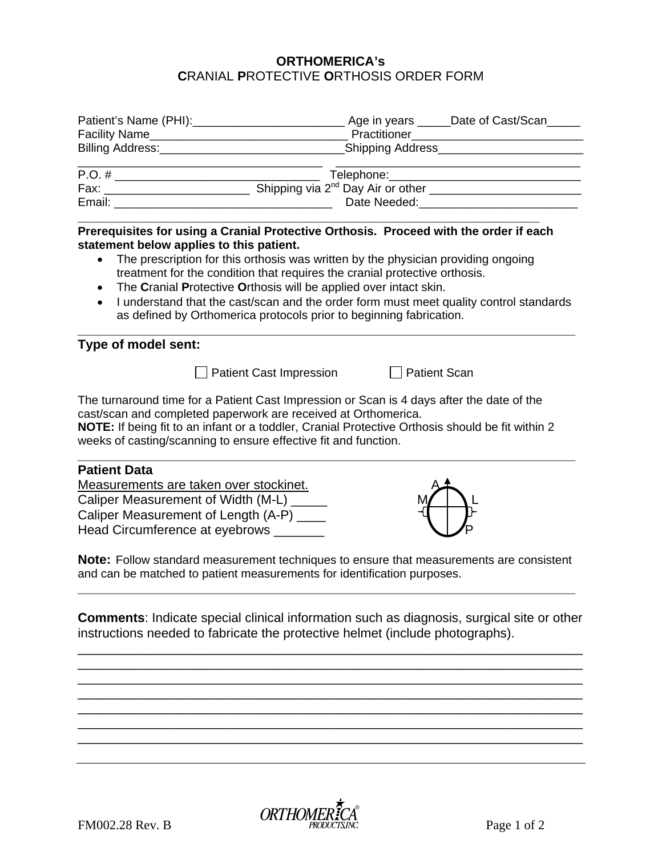## **ORTHOMERICA's C**RANIAL **P**ROTECTIVE **O**RTHOSIS ORDER FORM

| Facility Name______________ | Age in years _____Date of Cast/Scan<br>Practitioner |
|-----------------------------|-----------------------------------------------------|
| <b>Billing Address:</b>     | _Shipping Address_                                  |
| $P.O. \#$                   | Telephone:________________________                  |
| Fax:                        | Shipping via 2 <sup>nd</sup> Day Air or other       |
| Email:                      | Date Needed:                                        |

**\_\_\_\_\_\_\_\_\_\_\_\_\_\_\_\_\_\_\_\_\_\_\_\_\_\_\_\_\_\_\_\_\_\_\_\_\_\_\_\_\_\_\_\_\_\_\_\_\_\_\_\_\_\_\_\_\_\_\_\_\_\_\_\_ Prerequisites for using a Cranial Protective Orthosis. Proceed with the order if each statement below applies to this patient.** 

- The prescription for this orthosis was written by the physician providing ongoing treatment for the condition that requires the cranial protective orthosis.
- The **C**ranial **P**rotective **O**rthosis will be applied over intact skin.
- I understand that the cast/scan and the order form must meet quality control standards as defined by Orthomerica protocols prior to beginning fabrication.

**\_\_\_\_\_\_\_\_\_\_\_\_\_\_\_\_\_\_\_\_\_\_\_\_\_\_\_\_\_\_\_\_\_\_\_\_\_\_\_\_\_\_\_\_\_\_\_\_\_\_\_\_\_\_\_\_\_\_\_\_\_\_\_\_\_\_\_\_\_** 

## **Type of model sent:**

Patient Cast Impression Patient Scan

The turnaround time for a Patient Cast Impression or Scan is 4 days after the date of the cast/scan and completed paperwork are received at Orthomerica.

**NOTE:** If being fit to an infant or a toddler, Cranial Protective Orthosis should be fit within 2 weeks of casting/scanning to ensure effective fit and function.

**\_\_\_\_\_\_\_\_\_\_\_\_\_\_\_\_\_\_\_\_\_\_\_\_\_\_\_\_\_\_\_\_\_\_\_\_\_\_\_\_\_\_\_\_\_\_\_\_\_\_\_\_\_\_\_\_\_\_\_\_\_\_\_\_\_\_\_\_\_** 

## **Patient Data**

Measurements are taken over stockinet. Caliper Measurement of Width (M-L) Caliper Measurement of Length (A-P) \_\_\_\_ Head Circumference at eyebrows \_\_\_\_\_\_\_ P



**Note:** Follow standard measurement techniques to ensure that measurements are consistent and can be matched to patient measurements for identification purposes.

**\_\_\_\_\_\_\_\_\_\_\_\_\_\_\_\_\_\_\_\_\_\_\_\_\_\_\_\_\_\_\_\_\_\_\_\_\_\_\_\_\_\_\_\_\_\_\_\_\_\_\_\_\_\_\_\_\_\_\_\_\_\_\_\_\_\_\_\_\_** 

**Comments**: Indicate special clinical information such as diagnosis, surgical site or other instructions needed to fabricate the protective helmet (include photographs).

\_\_\_\_\_\_\_\_\_\_\_\_\_\_\_\_\_\_\_\_\_\_\_\_\_\_\_\_\_\_\_\_\_\_\_\_\_\_\_\_\_\_\_\_\_\_\_\_\_\_\_\_\_\_\_\_\_\_\_\_\_\_\_\_\_\_\_\_\_\_ \_\_\_\_\_\_\_\_\_\_\_\_\_\_\_\_\_\_\_\_\_\_\_\_\_\_\_\_\_\_\_\_\_\_\_\_\_\_\_\_\_\_\_\_\_\_\_\_\_\_\_\_\_\_\_\_\_\_\_\_\_\_\_\_\_\_\_\_\_\_ \_\_\_\_\_\_\_\_\_\_\_\_\_\_\_\_\_\_\_\_\_\_\_\_\_\_\_\_\_\_\_\_\_\_\_\_\_\_\_\_\_\_\_\_\_\_\_\_\_\_\_\_\_\_\_\_\_\_\_\_\_\_\_\_\_\_\_\_\_\_ \_\_\_\_\_\_\_\_\_\_\_\_\_\_\_\_\_\_\_\_\_\_\_\_\_\_\_\_\_\_\_\_\_\_\_\_\_\_\_\_\_\_\_\_\_\_\_\_\_\_\_\_\_\_\_\_\_\_\_\_\_\_\_\_\_\_\_\_\_\_ \_\_\_\_\_\_\_\_\_\_\_\_\_\_\_\_\_\_\_\_\_\_\_\_\_\_\_\_\_\_\_\_\_\_\_\_\_\_\_\_\_\_\_\_\_\_\_\_\_\_\_\_\_\_\_\_\_\_\_\_\_\_\_\_\_\_\_\_\_\_ \_\_\_\_\_\_\_\_\_\_\_\_\_\_\_\_\_\_\_\_\_\_\_\_\_\_\_\_\_\_\_\_\_\_\_\_\_\_\_\_\_\_\_\_\_\_\_\_\_\_\_\_\_\_\_\_\_\_\_\_\_\_\_\_\_\_\_\_\_\_ \_\_\_\_\_\_\_\_\_\_\_\_\_\_\_\_\_\_\_\_\_\_\_\_\_\_\_\_\_\_\_\_\_\_\_\_\_\_\_\_\_\_\_\_\_\_\_\_\_\_\_\_\_\_\_\_\_\_\_\_\_\_\_\_\_\_\_\_\_\_